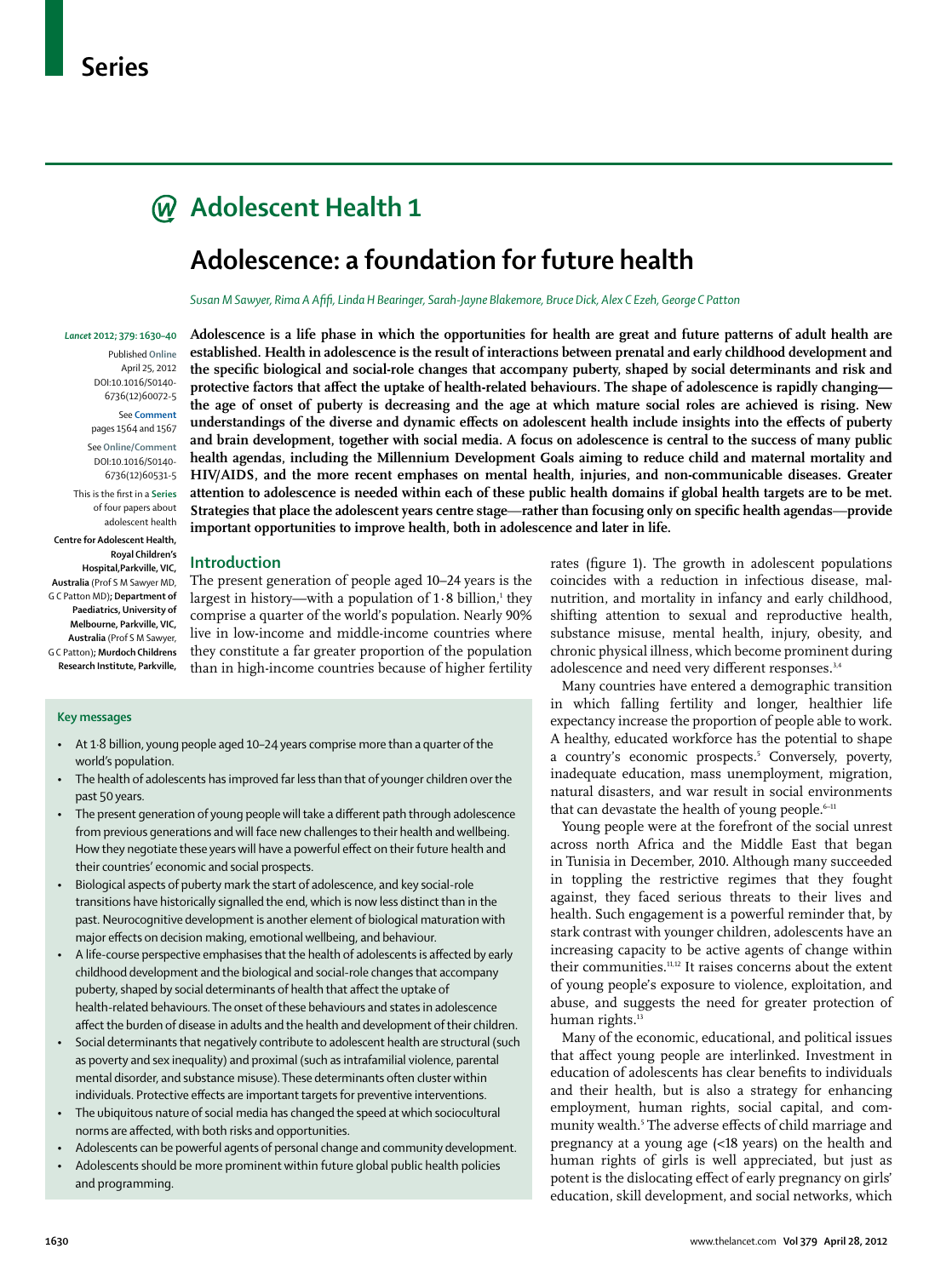# **Adolescent Health 1**

## **Adolescence: a foundation for future health**

*Susan M Sawyer, Rima A Afifi, Linda H Bearinger, Sarah-Jayne Blakemore, Bruce Dick, Alex C Ezeh, George C Patton* 

#### *Lancet* **2012; 379: 1630–40**

Published **Online** April 25, 2012 DOI:10.1016/S0140- 6736(12)60072-5

See **Comment** 

pages 1564 and 1567 See **Online/Comment** DOI:10.1016/S0140-

6736(12)60531-5 This is the fi rst in a **Series**

of four papers about adolescent health

**Centre for Adolescent Health, Royal Children's Hospital,Parkville, VIC, Australia** (Prof S M Sawyer MD, G C Patton MD)**; Department of Paediatrics, University of Melbourne, Parkville, VIC, Australia** (Prof S M Sawyer, G C Patton)**; Murdoch Childrens Research Institute, Parkville,**  **Adolescence is a life phase in which the opportunities for health are great and future patterns of adult health are established. Health in adolescence is the result of interactions between prenatal and early childhood development and**  the specific biological and social-role changes that accompany puberty, shaped by social determinants and risk and protective factors that affect the uptake of health-related behaviours. The shape of adolescence is rapidly changing **the age of onset of puberty is decreasing and the age at which mature social roles are achieved is rising. New**  understandings of the diverse and dynamic effects on adolescent health include insights into the effects of puberty **and brain development, together with social media. A focus on adolescence is central to the success of many public health agendas, including the Millennium Development Goals aiming to reduce child and maternal mortality and HIV/AIDS, and the more recent emphases on mental health, injuries, and non-communicable diseases. Greater attention to adolescence is needed within each of these public health domains if global health targets are to be met.**  Strategies that place the adolescent years centre stage—rather than focusing only on specific health agendas—provide **important opportunities to improve health, both in adolescence and later in life.**

## **Introduction**

The present generation of people aged 10–24 years is the largest in history—with a population of  $1·8$  billion, $^1$  they comprise a quarter of the world's population. Nearly 90% live in low-income and middle-income countries where they constitute a far greater proportion of the population than in high-income countries because of higher fertility

#### **Key messages**

- At 1·8 billion, young people aged 10–24 years comprise more than a quarter of the world's population.
- The health of adolescents has improved far less than that of younger children over the past 50 years.
- The present generation of young people will take a different path through adolescence from previous generations and will face new challenges to their health and wellbeing. How they negotiate these years will have a powerful effect on their future health and their countries' economic and social prospects.
- Biological aspects of puberty mark the start of adolescence, and key social-role transitions have historically signalled the end, which is now less distinct than in the past. Neurocognitive development is another element of biological maturation with major effects on decision making, emotional wellbeing, and behaviour.
- A life-course perspective emphasises that the health of adolescents is affected by early childhood development and the biological and social-role changes that accompany puberty, shaped by social determinants of health that affect the uptake of health-related behaviours. The onset of these behaviours and states in adolescence affect the burden of disease in adults and the health and development of their children.
- Social determinants that negatively contribute to adolescent health are structural (such as poverty and sex inequality) and proximal (such as intrafamilial violence, parental mental disorder, and substance misuse). These determinants often cluster within individuals. Protective effects are important targets for preventive interventions.
- The ubiquitous nature of social media has changed the speed at which sociocultural norms are affected, with both risks and opportunities.
- Adolescents can be powerful agents of personal change and community development.
- Adolescents should be more prominent within future global public health policies and programming.

rates (figure 1). The growth in adolescent populations coincides with a reduction in infectious disease, malnutrition, and mortality in infancy and early childhood, shifting attention to sexual and reproductive health, substance misuse, mental health, injury, obesity, and chronic physical illness, which become prominent during adolescence and need very different responses.<sup>3,4</sup>

Many countries have entered a demographic transition in which falling fertility and longer, healthier life expectancy increase the proportion of people able to work. A healthy, educated workforce has the potential to shape a country's economic prospects.<sup>5</sup> Conversely, poverty, inadequate education, mass unemployment, migration, natural disasters, and war result in social environments that can devastate the health of young people. $6-11$ 

Young people were at the forefront of the social unrest across north Africa and the Middle East that began in Tunisia in December, 2010. Although many succeeded in toppling the restrictive regimes that they fought against, they faced serious threats to their lives and health. Such engagement is a powerful reminder that, by stark contrast with younger children, adolescents have an increasing capacity to be active agents of change within their communities.<sup>11,12</sup> It raises concerns about the extent of young people's exposure to violence, exploitation, and abuse, and suggests the need for greater protection of human rights.<sup>13</sup>

Many of the economic, educational, and political issues that affect young people are interlinked. Investment in education of adolescents has clear benefits to individuals and their health, but is also a strategy for enhancing employment, human rights, social capital, and community wealth.<sup>5</sup> The adverse effects of child marriage and pregnancy at a young age (<18 years) on the health and human rights of girls is well appreciated, but just as potent is the dislocating effect of early pregnancy on girls' education, skill development, and social networks, which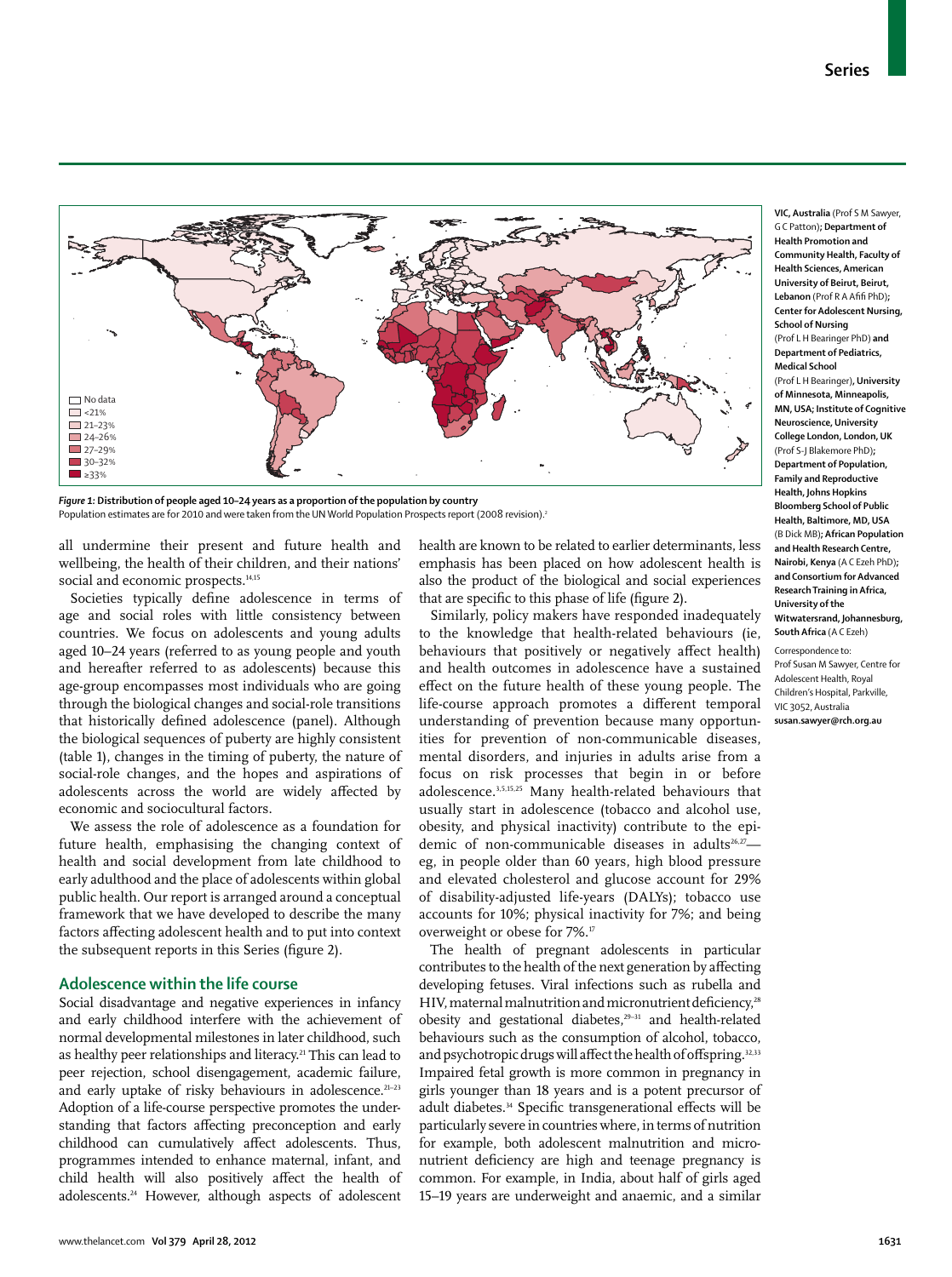

*Figure 1:* **Distribution of people aged 10–24 years as a proportion of the population by country** Population estimates are for 2010 and were taken from the UN World Population Prospects report (2008 revision).<sup>2</sup>

all undermine their present and future health and wellbeing, the health of their children, and their nations' social and economic prospects.<sup>14,15</sup>

Societies typically define adolescence in terms of age and social roles with little consistency between countries. We focus on adolescents and young adults aged 10–24 years (referred to as young people and youth and hereafter referred to as adolescents) because this age-group encompasses most individuals who are going through the biological changes and social-role transitions that historically defined adolescence (panel). Although the biological sequences of puberty are highly consistent (table 1), changes in the timing of puberty, the nature of social-role changes, and the hopes and aspirations of adolescents across the world are widely affected by economic and sociocultural factors.

We assess the role of adolescence as a foundation for future health, emphasising the changing context of health and social development from late childhood to early adulthood and the place of adolescents within global public health. Our report is arranged around a conceptual framework that we have developed to describe the many factors affecting adolescent health and to put into context the subsequent reports in this Series (figure 2).

## **Adolescence within the life course**

Social disadvantage and negative experiences in infancy and early childhood interfere with the achievement of normal developmental milestones in later childhood, such as healthy peer relationships and literacy.<sup>21</sup> This can lead to peer rejection, school disengagement, academic failure, and early uptake of risky behaviours in adolescence.<sup>21-23</sup> Adoption of a life-course perspective promotes the understanding that factors affecting preconception and early childhood can cumulatively affect adolescents. Thus, programmes intended to enhance maternal, infant, and child health will also positively affect the health of adolescents.24 However, although aspects of adolescent health are known to be related to earlier determinants, less emphasis has been placed on how adolescent health is also the product of the biological and social experiences that are specific to this phase of life (figure 2).

Similarly, policy makers have responded inadequately to the knowledge that health-related behaviours (ie, behaviours that positively or negatively affect health) and health outcomes in adolescence have a sustained effect on the future health of these young people. The life-course approach promotes a different temporal understanding of prevention because many opportunities for prevention of non-communicable diseases, mental disorders, and injuries in adults arise from a focus on risk processes that begin in or before adolescence.3,5,15,25 Many health-related behaviours that usually start in adolescence (tobacco and alcohol use, obesity, and physical inactivity) contribute to the epidemic of non-communicable diseases in adults<sup>26,27</sup>eg, in people older than 60 years, high blood pressure and elevated cholesterol and glucose account for 29% of disability-adjusted life-years (DALYs); tobacco use accounts for 10%; physical inactivity for 7%; and being overweight or obese for 7%.17

The health of pregnant adolescents in particular contributes to the health of the next generation by affecting developing fetuses. Viral infections such as rubella and HIV, maternal malnutrition and micronutrient deficiency,<sup>28</sup> obesity and gestational diabetes,29–31 and health-related behaviours such as the consumption of alcohol, tobacco, and psychotropic drugs will affect the health of offspring.<sup>32,33</sup> Impaired fetal growth is more common in pregnancy in girls younger than 18 years and is a potent precursor of adult diabetes.<sup>34</sup> Specific transgenerational effects will be particularly severe in countries where, in terms of nutrition for example, both adolescent malnutrition and micronutrient deficiency are high and teenage pregnancy is common. For example, in India, about half of girls aged 15–19 years are underweight and anaemic, and a similar

**VIC, Australia** (Prof S M Sawyer, G C Patton)**; Department of Health Promotion and Community Health, Faculty of Health Sciences, American University of Beirut, Beirut,**  Lebanon (Prof R A Afifi PhD); **Center for Adolescent Nursing, School of Nursing**  (Prof L H Bearinger PhD) **and Department of Pediatrics, Medical School**  (Prof L H Bearinger)**, University of Minnesota, Minneapolis, MN, USA; Institute of Cognitive Neuroscience, University College London, London, UK** (Prof S-J Blakemore PhD)**; Department of Population, Family and Reproductive Health, Johns Hopkins Bloomberg School of Public Health, Baltimore, MD, USA** (B Dick MB)**; African Population and Health Research Centre, Nairobi, Kenya** (A C Ezeh PhD)**; and Consortium for Advanced Research Training in Africa, University of the Witwatersrand, Johannesburg, South Africa** (A C Ezeh)

Correspondence to: Prof Susan M Sawyer, Centre for Adolescent Health, Royal Children's Hospital, Parkville, VIC 3052, Australia **susan.sawyer@rch.org.au**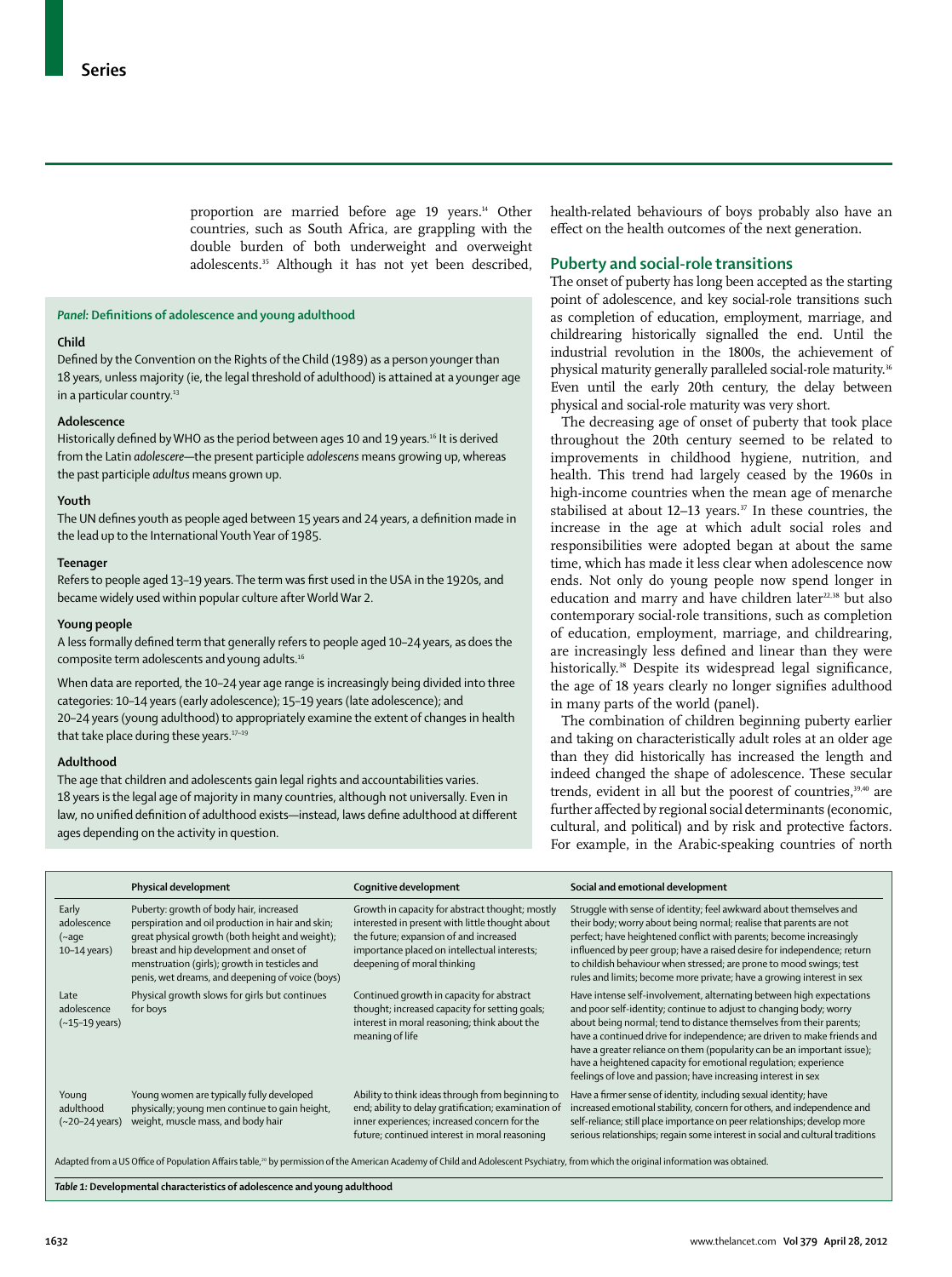proportion are married before age 19 years.<sup>14</sup> Other countries, such as South Africa, are grappling with the double burden of both underweight and overweight adolescents.<sup>35</sup> Although it has not yet been described,

## Panel: Definitions of adolescence and young adulthood

#### **Child**

Defined by the Convention on the Rights of the Child (1989) as a person younger than 18 years, unless majority (ie, the legal threshold of adulthood) is attained at a younger age in a particular country. $13$ 

## **Adolescence**

Historically defined by WHO as the period between ages 10 and 19 years.<sup>16</sup> It is derived from the Latin *adolescere*—the present participle *adolescens* means growing up, whereas the past participle *adultus* means grown up.

### **Youth**

The UN defines youth as people aged between 15 years and 24 years, a definition made in the lead up to the International Youth Year of 1985.

#### **Teenager**

Refers to people aged 13-19 years. The term was first used in the USA in the 1920s, and became widely used within popular culture after World War 2.

#### **Young people**

A less formally defined term that generally refers to people aged 10-24 years, as does the composite term adolescents and young adults.16

When data are reported, the 10–24 year age range is increasingly being divided into three categories: 10–14 years (early adolescence); 15–19 years (late adolescence); and 20–24 years (young adulthood) to appropriately examine the extent of changes in health that take place during these years.<sup>17-19</sup>

## **Adulthood**

The age that children and adolescents gain legal rights and accountabilities varies. 18 years is the legal age of majority in many countries, although not universally. Even in law, no unified definition of adulthood exists-instead, laws define adulthood at different ages depending on the activity in question.

health-related behaviours of boys probably also have an effect on the health outcomes of the next generation.

## **Puberty and social-role transitions**

The onset of puberty has long been accepted as the starting point of adolescence, and key social-role transitions such as completion of education, employment, marriage, and childrearing historically signalled the end. Until the industrial revolution in the 1800s, the achievement of physical maturity generally paralleled social-role maturity.<sup>36</sup> Even until the early 20th century, the delay between physical and social-role maturity was very short.

The decreasing age of onset of puberty that took place throughout the 20th century seemed to be related to improvements in childhood hygiene, nutrition, and health. This trend had largely ceased by the 1960s in high-income countries when the mean age of menarche stabilised at about  $12-13$  years.<sup>37</sup> In these countries, the increase in the age at which adult social roles and responsibilities were adopted began at about the same time, which has made it less clear when adolescence now ends. Not only do young people now spend longer in education and marry and have children later<sup>22,38</sup> but also contemporary social-role transitions, such as completion of education, employment, marriage, and childrearing, are increasingly less defined and linear than they were historically.<sup>38</sup> Despite its widespread legal significance, the age of 18 years clearly no longer signifies adulthood in many parts of the world (panel).

The combination of children beginning puberty earlier and taking on characteristically adult roles at an older age than they did historically has increased the length and indeed changed the shape of adolescence. These secular trends, evident in all but the poorest of countries,<sup>39,40</sup> are further affected by regional social determinants (economic, cultural, and political) and by risk and protective factors. For example, in the Arabic-speaking countries of north

|                                                                                                                                                                                                 | Physical development                                                                                                                                                                                                                                                                            | Coqnitive development                                                                                                                                                                                                       | Social and emotional development                                                                                                                                                                                                                                                                                                                                                                                                                                                                            |  |
|-------------------------------------------------------------------------------------------------------------------------------------------------------------------------------------------------|-------------------------------------------------------------------------------------------------------------------------------------------------------------------------------------------------------------------------------------------------------------------------------------------------|-----------------------------------------------------------------------------------------------------------------------------------------------------------------------------------------------------------------------------|-------------------------------------------------------------------------------------------------------------------------------------------------------------------------------------------------------------------------------------------------------------------------------------------------------------------------------------------------------------------------------------------------------------------------------------------------------------------------------------------------------------|--|
| Early<br>adolescence<br>$(\sim$ age<br>$10-14$ years)                                                                                                                                           | Puberty: growth of body hair, increased<br>perspiration and oil production in hair and skin;<br>great physical growth (both height and weight);<br>breast and hip development and onset of<br>menstruation (girls); growth in testicles and<br>penis, wet dreams, and deepening of voice (boys) | Growth in capacity for abstract thought; mostly<br>interested in present with little thought about<br>the future; expansion of and increased<br>importance placed on intellectual interests;<br>deepening of moral thinking | Struggle with sense of identity; feel awkward about themselves and<br>their body; worry about being normal; realise that parents are not<br>perfect; have heightened conflict with parents; become increasingly<br>influenced by peer group; have a raised desire for independence; return<br>to childish behaviour when stressed; are prone to mood swings; test<br>rules and limits; become more private; have a growing interest in sex                                                                  |  |
| Late<br>adolescence<br>$(-15-19 \text{ years})$                                                                                                                                                 | Physical growth slows for girls but continues<br>for boys                                                                                                                                                                                                                                       | Continued growth in capacity for abstract<br>thought; increased capacity for setting goals;<br>interest in moral reasoning; think about the<br>meaning of life                                                              | Have intense self-involvement, alternating between high expectations<br>and poor self-identity; continue to adjust to changing body; worry<br>about being normal; tend to distance themselves from their parents;<br>have a continued drive for independence; are driven to make friends and<br>have a greater reliance on them (popularity can be an important issue);<br>have a heightened capacity for emotional regulation; experience<br>feelings of love and passion; have increasing interest in sex |  |
| Young<br>adulthood<br>(~20–24 years)                                                                                                                                                            | Young women are typically fully developed<br>physically; young men continue to gain height,<br>weight, muscle mass, and body hair                                                                                                                                                               | Ability to think ideas through from beginning to<br>end; ability to delay gratification; examination of<br>inner experiences; increased concern for the<br>future; continued interest in moral reasoning                    | Have a firmer sense of identity, including sexual identity; have<br>increased emotional stability, concern for others, and independence and<br>self-reliance; still place importance on peer relationships; develop more<br>serious relationships; regain some interest in social and cultural traditions                                                                                                                                                                                                   |  |
| Adapted from a US Office of Population Affairs table, <sup>20</sup> by permission of the American Academy of Child and Adolescent Psychiatry, from which the original information was obtained. |                                                                                                                                                                                                                                                                                                 |                                                                                                                                                                                                                             |                                                                                                                                                                                                                                                                                                                                                                                                                                                                                                             |  |

*Table 1:* **Developmental characteristics of adolescence and young adulthood**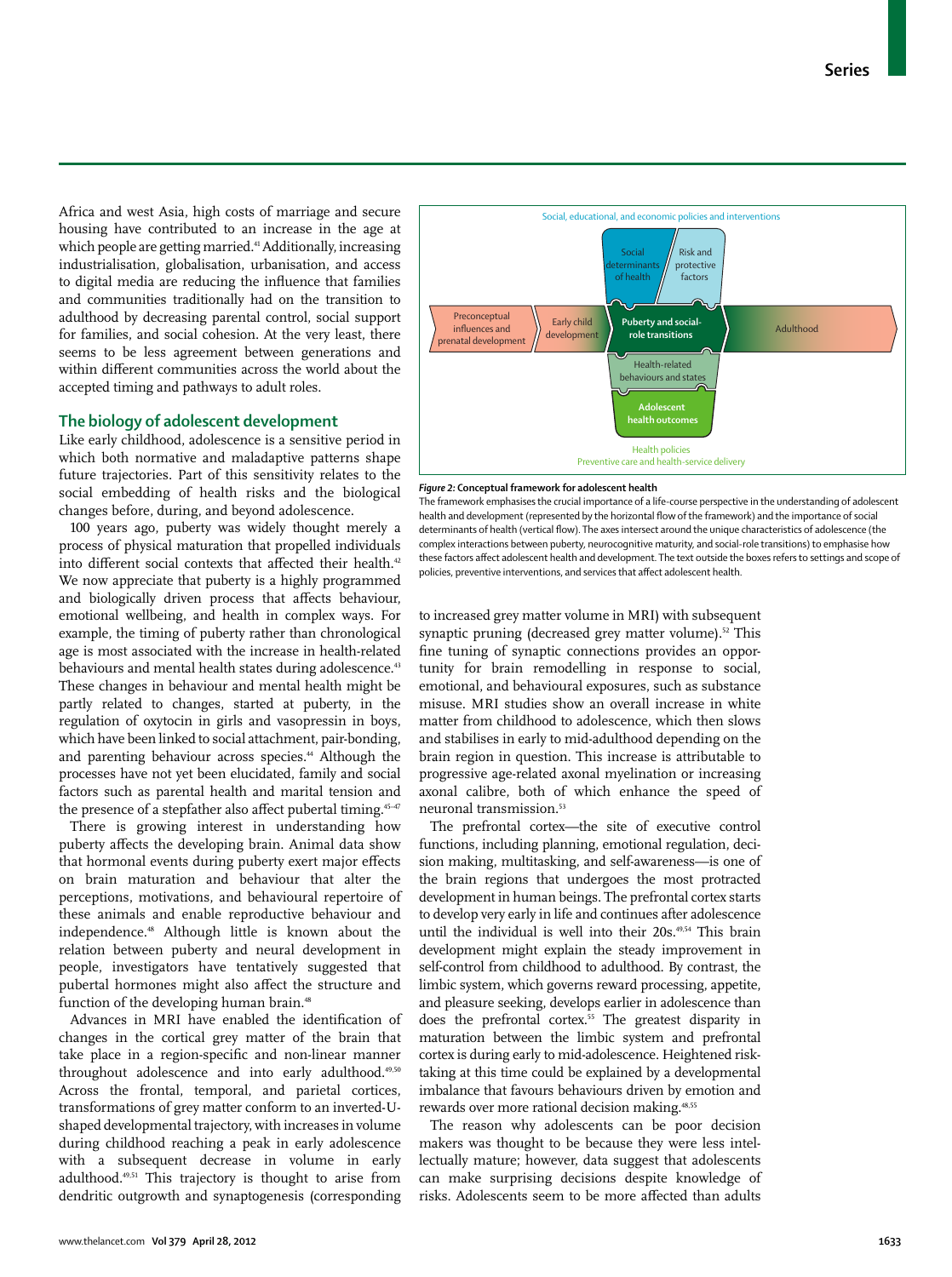Africa and west Asia, high costs of marriage and secure housing have contributed to an increase in the age at which people are getting married.<sup>41</sup> Additionally, increasing industrialisation, globalisation, urbanisation, and access to digital media are reducing the influence that families and communities traditionally had on the transition to adulthood by decreasing parental control, social support for families, and social cohesion. At the very least, there seems to be less agreement between generations and within different communities across the world about the accepted timing and pathways to adult roles.

## **The biology of adolescent development**

Like early childhood, adolescence is a sensitive period in which both normative and maladaptive patterns shape future trajectories. Part of this sensitivity relates to the social embedding of health risks and the biological changes before, during, and beyond adolescence.

100 years ago, puberty was widely thought merely a process of physical maturation that propelled individuals into different social contexts that affected their health.<sup>42</sup> We now appreciate that puberty is a highly programmed and biologically driven process that affects behaviour, emotional wellbeing, and health in complex ways. For example, the timing of puberty rather than chronological age is most associated with the increase in health-related behaviours and mental health states during adolescence.<sup>43</sup> These changes in behaviour and mental health might be partly related to changes, started at puberty, in the regulation of oxytocin in girls and vasopressin in boys, which have been linked to social attachment, pair-bonding, and parenting behaviour across species.<sup>44</sup> Although the processes have not yet been elucidated, family and social factors such as parental health and marital tension and the presence of a stepfather also affect pubertal timing. $45-47$ 

There is growing interest in understanding how puberty affects the developing brain. Animal data show that hormonal events during puberty exert major effects on brain maturation and behaviour that alter the perceptions, motivations, and behavioural repertoire of these animals and enable reproductive behaviour and independence.48 Although little is known about the relation between puberty and neural development in people, investigators have tentatively suggested that pubertal hormones might also affect the structure and function of the developing human brain.<sup>48</sup>

Advances in MRI have enabled the identification of changes in the cortical grey matter of the brain that take place in a region-specific and non-linear manner throughout adolescence and into early adulthood.<sup>49,50</sup> Across the frontal, temporal, and parietal cortices, transformations of grey matter conform to an inverted-Ushaped developmental trajectory, with increases in volume during childhood reaching a peak in early adolescence with a subsequent decrease in volume in early adulthood.49,51 This trajectory is thought to arise from dendritic outgrowth and synaptogenesis (corresponding



#### *Figure 2:* **Conceptual framework for adolescent health**

The framework emphasises the crucial importance of a life-course perspective in the understanding of adolescent health and development (represented by the horizontal flow of the framework) and the importance of social determinants of health (vertical flow). The axes intersect around the unique characteristics of adolescence (the complex interactions between puberty, neurocognitive maturity, and social-role transitions) to emphasise how these factors affect adolescent health and development. The text outside the boxes refers to settings and scope of policies, preventive interventions, and services that affect adolescent health.

to increased grey matter volume in MRI) with subsequent synaptic pruning (decreased grey matter volume).<sup>52</sup> This fine tuning of synaptic connections provides an opportunity for brain remodelling in response to social, emotional, and behavioural exposures, such as substance misuse. MRI studies show an overall increase in white matter from childhood to adolescence, which then slows and stabilises in early to mid-adulthood depending on the brain region in question. This increase is attributable to progressive age-related axonal myelination or increasing axonal calibre, both of which enhance the speed of neuronal transmission.<sup>53</sup>

The prefrontal cortex—the site of executive control functions, including planning, emotional regulation, decision making, multitasking, and self-awareness-is one of the brain regions that undergoes the most protracted development in human beings. The prefrontal cortex starts to develop very early in life and continues after adolescence until the individual is well into their 20s.49,54 This brain development might explain the steady improvement in self-control from childhood to adulthood. By contrast, the limbic system, which governs reward processing, appetite, and pleasure seeking, develops earlier in adolescence than does the prefrontal cortex.55 The greatest disparity in maturation between the limbic system and prefrontal cortex is during early to mid-adolescence. Heightened risktaking at this time could be explained by a developmental imbalance that favours behaviours driven by emotion and rewards over more rational decision making.48,55

The reason why adolescents can be poor decision makers was thought to be because they were less intellectually mature; however, data suggest that adolescents can make surprising decisions despite knowledge of risks. Adolescents seem to be more affected than adults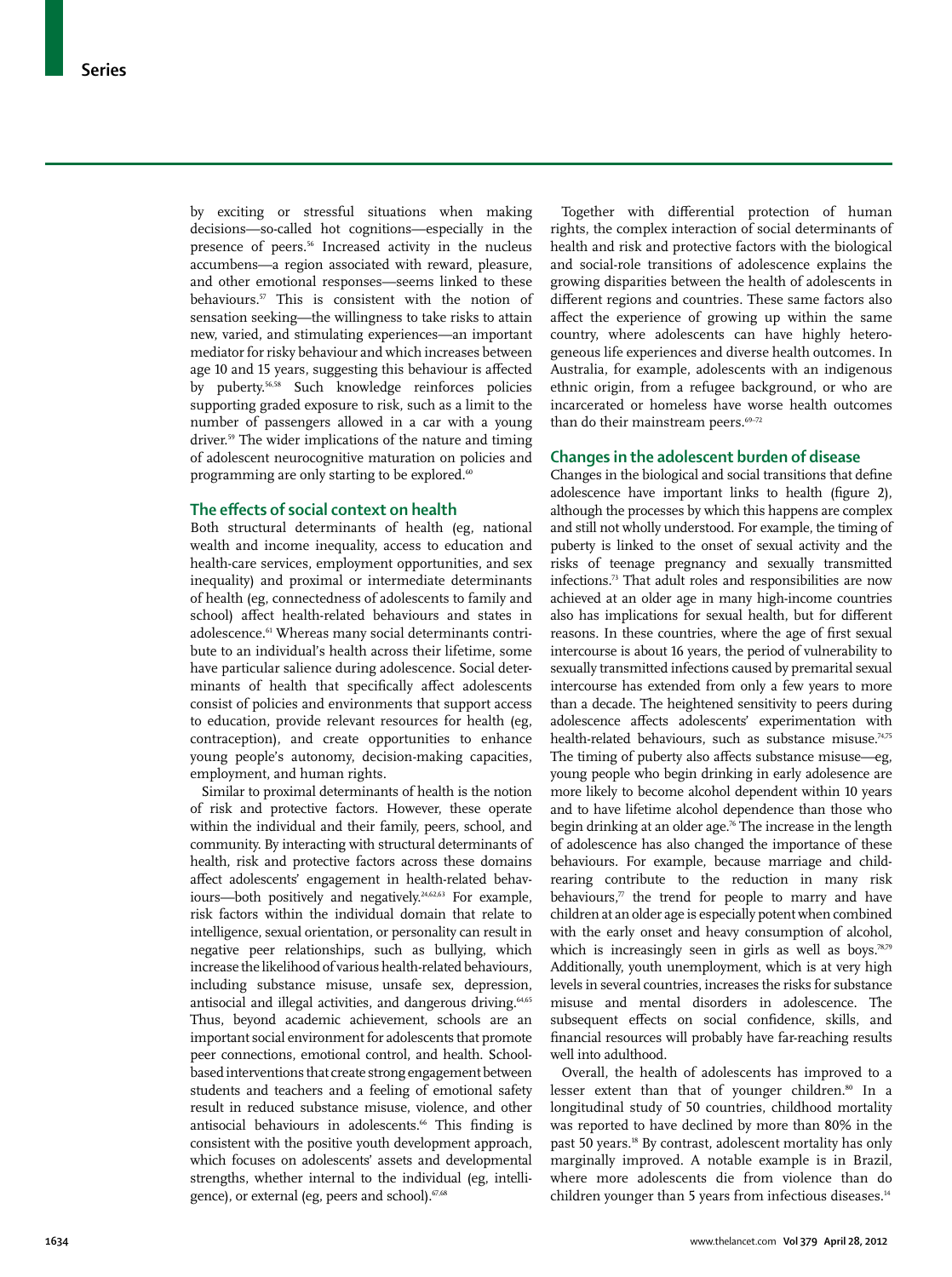by exciting or stressful situations when making decisions—so-called hot cognitions—especially in the presence of peers.<sup>56</sup> Increased activity in the nucleus accumbens—a region associated with reward, pleasure, and other emotional responses—seems linked to these behaviours.<sup>57</sup> This is consistent with the notion of sensation seeking—the willingness to take risks to attain new, varied, and stimulating experiences—an important mediator for risky behaviour and which increases between age 10 and 15 years, suggesting this behaviour is affected by puberty.56,58 Such knowledge reinforces policies supporting graded exposure to risk, such as a limit to the number of passengers allowed in a car with a young driver.<sup>59</sup> The wider implications of the nature and timing of adolescent neurocognitive maturation on policies and programming are only starting to be explored.<sup>60</sup>

## **The effects of social context on health**

Both structural determinants of health (eg, national wealth and income inequality, access to education and health-care services, employment opportunities, and sex inequality) and proximal or intermediate determinants of health (eg, connectedness of adolescents to family and school) affect health-related behaviours and states in adolescence.61 Whereas many social determinants contribute to an individual's health across their lifetime, some have particular salience during adolescence. Social determinants of health that specifically affect adolescents consist of policies and environ ments that support access to education, provide relevant resources for health (eg, contraception), and create opportunities to enhance young people's autonomy, decision-making capacities, employment, and human rights.

Similar to proximal determinants of health is the notion of risk and protective factors. However, these operate within the individual and their family, peers, school, and community. By interacting with structural determinants of health, risk and protective factors across these domains affect adolescents' engagement in health-related behaviours—both positively and negatively.24,62,63 For example, risk factors within the individual domain that relate to intelligence, sexual orientation, or personality can result in negative peer relationships, such as bullying, which increase the likelihood of various health-related behaviours, including substance misuse, unsafe sex, depression, antisocial and illegal activities, and dangerous driving.<sup>64,65</sup> Thus, beyond academic achievement, schools are an important social environment for adolescents that promote peer connections, emotional control, and health. Schoolbased interventions that create strong engagement between students and teachers and a feeling of emotional safety result in reduced substance misuse, violence, and other antisocial behaviours in adolescents.<sup>66</sup> This finding is consistent with the positive youth development approach, which focuses on adolescents' assets and developmental strengths, whether internal to the individual (eg, intelligence), or external (eg, peers and school).<sup>67,68</sup>

Together with differential protection of human rights, the complex interaction of social determinants of health and risk and protective factors with the biological and social-role transitions of adolescence explains the growing disparities between the health of adolescents in different regions and countries. These same factors also affect the experience of growing up within the same country, where adolescents can have highly heterogeneous life experiences and diverse health outcomes. In Australia, for example, adolescents with an indigenous ethnic origin, from a refugee background, or who are incarcerated or homeless have worse health outcomes than do their mainstream peers.<sup>69-72</sup>

## **Changes in the adolescent burden of disease**

Changes in the biological and social transitions that define adolescence have important links to health (figure 2), although the processes by which this happens are complex and still not wholly understood. For example, the timing of puberty is linked to the onset of sexual activity and the risks of teenage pregnancy and sexually transmitted infections.73 That adult roles and responsibilities are now achieved at an older age in many high-income countries also has implications for sexual health, but for different reasons. In these countries, where the age of first sexual inter course is about 16 years, the period of vulnerability to sexually transmitted infections caused by premarital sexual intercourse has extended from only a few years to more than a decade. The heightened sensitivity to peers during adolescence affects adolescents' experimentation with health-related behaviours, such as substance misuse.<sup>74,75</sup> The timing of puberty also affects substance misuse—eg, young people who begin drinking in early adolesence are more likely to become alcohol dependent within 10 years and to have lifetime alcohol dependence than those who begin drinking at an older age.<sup>76</sup> The increase in the length of adolescence has also changed the importance of these behaviours. For example, because marriage and childrearing contribute to the reduction in many risk behaviours, $\pi$  the trend for people to marry and have children at an older age is especially potent when combined with the early onset and heavy consumption of alcohol, which is increasingly seen in girls as well as boys.<sup>78,79</sup> Additionally, youth unemployment, which is at very high levels in several countries, increases the risks for substance misuse and mental disorders in adolescence. The subsequent effects on social confidence, skills, and financial resources will probably have far-reaching results well into adulthood.

Overall, the health of adolescents has improved to a lesser extent than that of younger children.<sup>80</sup> In a longitudinal study of 50 countries, childhood mortality was reported to have declined by more than 80% in the past 50 years.<sup>18</sup> By contrast, adolescent mortality has only marginally improved. A notable example is in Brazil, where more adolescents die from violence than do children younger than 5 years from infectious diseases.<sup>14</sup>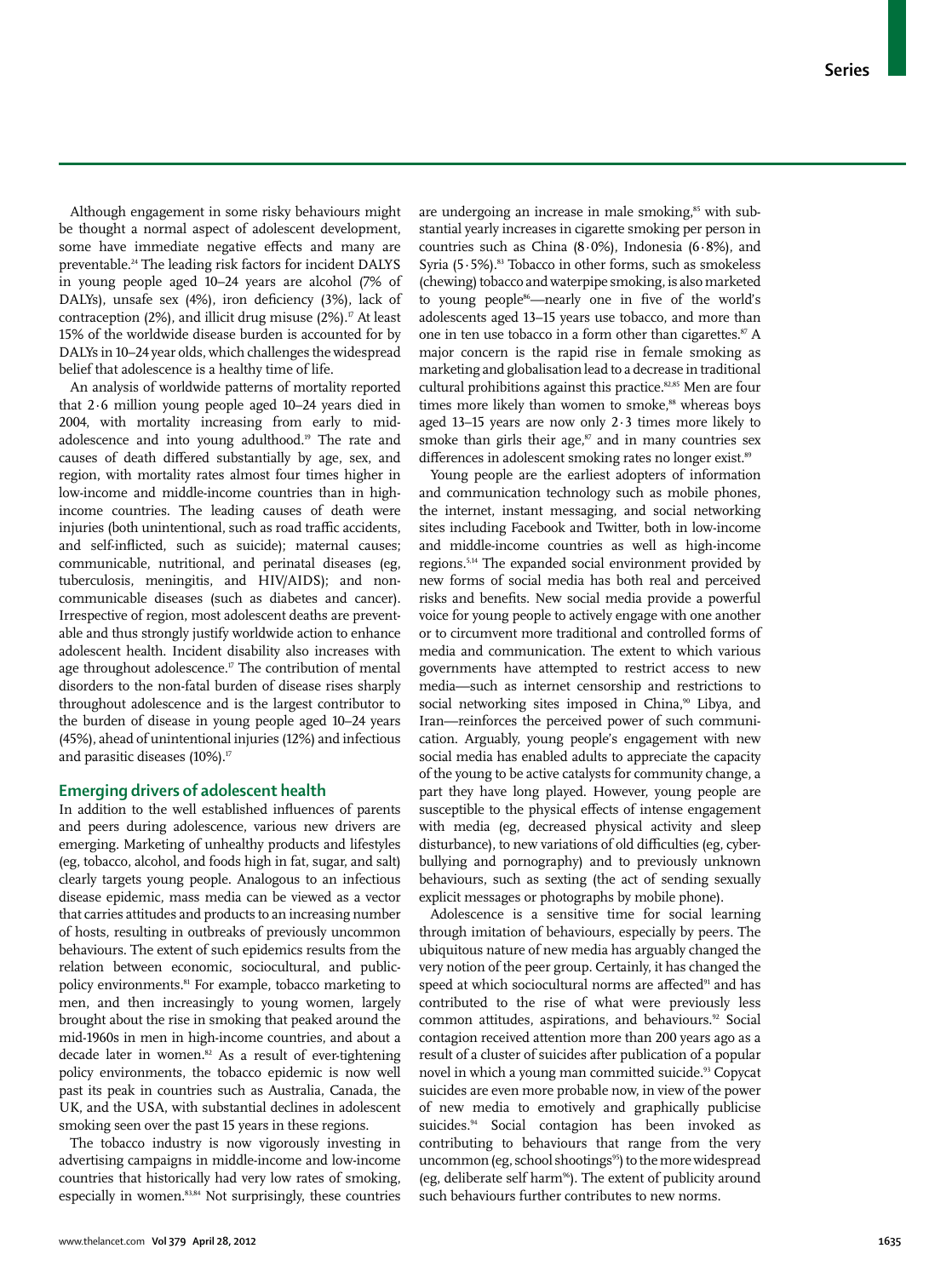Although engagement in some risky behaviours might be thought a normal aspect of adolescent development, some have immediate negative effects and many are preventable.<sup>24</sup> The leading risk factors for incident DALYS in young people aged 10–24 years are alcohol (7% of DALYs), unsafe sex (4%), iron deficiency (3%), lack of contraception (2%), and illicit drug misuse (2%).<sup>17</sup> At least 15% of the worldwide disease burden is accounted for by DALYs in 10–24 year olds, which challenges the widespread belief that adolescence is a healthy time of life.

An analysis of worldwide patterns of mortality reported that 2·6 million young people aged 10–24 years died in 2004, with mortality increasing from early to midadolescence and into young adulthood.19 The rate and causes of death differed substantially by age, sex, and region, with mortality rates almost four times higher in low-income and middle-income countries than in highincome countries. The leading causes of death were injuries (both unintentional, such as road traffic accidents, and self-inflicted, such as suicide); maternal causes; communicable, nutritional, and perinatal diseases (eg, tuberculosis, meningitis, and HIV/AIDS); and noncommunicable diseases (such as diabetes and cancer). Irrespective of region, most adolescent deaths are preventable and thus strongly justify worldwide action to enhance adolescent health. Incident disability also increases with age throughout adolescence. $\mathbb{I}^7$  The contribution of mental disorders to the non-fatal burden of disease rises sharply throughout adolescence and is the largest contributor to the burden of disease in young people aged 10–24 years (45%), ahead of unintentional injuries (12%) and infectious and parasitic diseases (10%).<sup>17</sup>

## **Emerging drivers of adolescent health**

In addition to the well established influences of parents and peers during adolescence, various new drivers are emerging. Marketing of unhealthy products and lifestyles (eg, tobacco, alcohol, and foods high in fat, sugar, and salt) clearly targets young people. Analogous to an infectious disease epidemic, mass media can be viewed as a vector that carries attitudes and products to an increasing number of hosts, resulting in outbreaks of previously uncommon behaviours. The extent of such epidemics results from the relation between economic, sociocultural, and publicpolicy environments.<sup>81</sup> For example, tobacco marketing to men, and then increasingly to young women, largely brought about the rise in smoking that peaked around the mid-1960s in men in high-income countries, and about a decade later in women.<sup>82</sup> As a result of ever-tightening policy environ ments, the tobacco epidemic is now well past its peak in countries such as Australia, Canada, the UK, and the USA, with substantial declines in adolescent smoking seen over the past 15 years in these regions.

The tobacco industry is now vigorously investing in advertising campaigns in middle-income and low-income countries that historically had very low rates of smoking, especially in women.<sup>83,84</sup> Not surprisingly, these countries are undergoing an increase in male smoking,<sup>85</sup> with substantial yearly increases in cigarette smoking per person in countries such as China (8·0%), Indonesia (6·8%), and Syria (5 · 5%).<sup>83</sup> Tobacco in other forms, such as smokeless (chewing) tobacco and waterpipe smoking, is also marketed to young people<sup>86</sup>—nearly one in five of the world's adolescents aged 13–15 years use tobacco, and more than one in ten use tobacco in a form other than cigarettes.<sup>87</sup> A major concern is the rapid rise in female smoking as marketing and globalisation lead to a decrease in traditional cultural prohibitions against this practice.<sup>82,85</sup> Men are four times more likely than women to smoke,<sup>88</sup> whereas boys aged 13–15 years are now only 2·3 times more likely to smoke than girls their age, $s<sub>7</sub>$  and in many countries sex differences in adolescent smoking rates no longer exist.<sup>89</sup>

Young people are the earliest adopters of information and communication technology such as mobile phones, the internet, instant messaging, and social networking sites including Facebook and Twitter, both in low-income and middle-income countries as well as high-income regions.5,14 The expanded social environment provided by new forms of social media has both real and perceived risks and benefits. New social media provide a powerful voice for young people to actively engage with one another or to circumvent more traditional and controlled forms of media and communication. The extent to which various governments have attempted to restrict access to new media—such as internet censorship and restrictions to social networking sites imposed in China,<sup>90</sup> Libya, and Iran—reinforces the perceived power of such communication. Arguably, young people's engagement with new social media has enabled adults to appreciate the capacity of the young to be active catalysts for community change, a part they have long played. However, young people are susceptible to the physical effects of intense engagement with media (eg, decreased physical activity and sleep disturbance), to new variations of old difficulties (eg, cyberbullying and pornography) and to previously unknown behaviours, such as sexting (the act of sending sexually explicit messages or photographs by mobile phone).

Adolescence is a sensitive time for social learning through imitation of behaviours, especially by peers. The ubiquitous nature of new media has arguably changed the very notion of the peer group. Certainly, it has changed the speed at which sociocultural norms are affected<sup>91</sup> and has contributed to the rise of what were previously less common attitudes, aspirations, and behaviours.<sup>92</sup> Social contagion received attention more than 200 years ago as a result of a cluster of suicides after publication of a popular novel in which a young man committed suicide.<sup>93</sup> Copycat suicides are even more probable now, in view of the power of new media to emotively and graphically publicise suicides.<sup>94</sup> Social contagion has been invoked as contributing to behaviours that range from the very uncommon (eg, school shootings<sup>95</sup>) to the more widespread (eg, deliberate self harm<sup>96</sup>). The extent of publicity around such behaviours further contributes to new norms.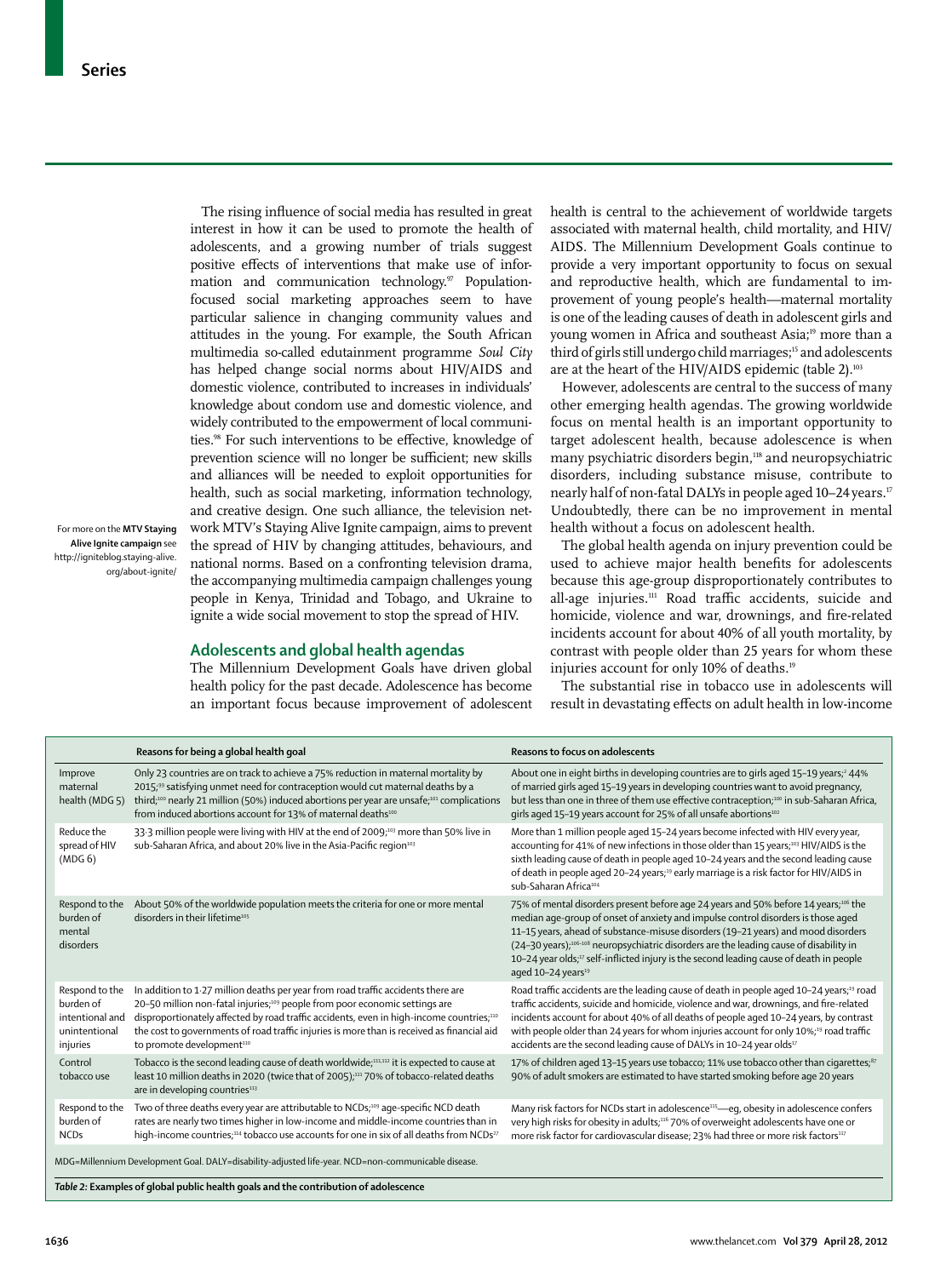The rising influence of social media has resulted in great interest in how it can be used to promote the health of adolescents, and a growing number of trials suggest positive effects of interventions that make use of information and communication technology.<sup>97</sup> Populationfocused social marketing approaches seem to have particular salience in changing community values and attitudes in the young. For example, the South African multimedia so-called edutainment programme *Soul City* has helped change social norms about HIV/AIDS and domestic violence, contributed to increases in individuals' knowledge about condom use and domestic violence, and widely contributed to the empowerment of local communities.<sup>98</sup> For such interventions to be effective, knowledge of prevention science will no longer be sufficient; new skills and alliances will be needed to exploit opportunities for health, such as social marketing, information technology, and creative design. One such alliance, the television network MTV's Staying Alive Ignite campaign, aims to prevent the spread of HIV by changing attitudes, behaviours, and national norms. Based on a confronting television drama, the accompanying multimedia campaign challenges young people in Kenya, Trinidad and Tobago, and Ukraine to ignite a wide social movement to stop the spread of HIV.

For more on the **MTV Staying Alive Ignite campaign** see http://igniteblog.staying-alive. org/about-ignite/

## **Adolescents and global health agendas**

The Millennium Development Goals have driven global health policy for the past decade. Adolescence has become an important focus because improvement of adolescent health is central to the achievement of worldwide targets associated with maternal health, child mortality, and HIV/ AIDS. The Millennium Development Goals continue to provide a very important opportunity to focus on sexual and reproductive health, which are fundamental to improvement of young people's health—maternal mortality is one of the leading causes of death in adolescent girls and young women in Africa and southeast Asia;<sup>19</sup> more than a third of girls still undergo child marriages;<sup>15</sup> and adolescents are at the heart of the HIV/AIDS epidemic (table 2).<sup>103</sup>

However, adolescents are central to the success of many other emerging health agendas. The growing worldwide focus on mental health is an important opportunity to target adolescent health, because adolescence is when many psychiatric disorders begin,<sup>118</sup> and neuropsychiatric disorders, including substance misuse, contribute to nearly half of non-fatal DALYs in people aged 10-24 years.<sup>17</sup> Undoubtedly, there can be no improvement in mental health without a focus on adolescent health.

The global health agenda on injury prevention could be used to achieve major health benefits for adolescents because this age-group disproportionately contributes to all-age injuries.<sup>111</sup> Road traffic accidents, suicide and homicide, violence and war, drownings, and fire-related incidents account for about 40% of all youth mortality, by contrast with people older than 25 years for whom these injuries account for only 10% of deaths.<sup>19</sup>

The substantial rise in tobacco use in adolescents will result in devastating effects on adult health in low-income

|                                                                                                    | Reasons for being a global health goal                                                                                                                                                                                                                                                                                                                                                                                      | Reasons to focus on adolescents                                                                                                                                                                                                                                                                                                                                                                                                                                                                                          |  |  |
|----------------------------------------------------------------------------------------------------|-----------------------------------------------------------------------------------------------------------------------------------------------------------------------------------------------------------------------------------------------------------------------------------------------------------------------------------------------------------------------------------------------------------------------------|--------------------------------------------------------------------------------------------------------------------------------------------------------------------------------------------------------------------------------------------------------------------------------------------------------------------------------------------------------------------------------------------------------------------------------------------------------------------------------------------------------------------------|--|--|
| Improve<br>maternal<br>health (MDG 5)                                                              | Only 23 countries are on track to achieve a 75% reduction in maternal mortality by<br>2015; <sup>99</sup> satisfying unmet need for contraception would cut maternal deaths by a<br>third; <sup>100</sup> nearly 21 million (50%) induced abortions per year are unsafe; <sup>101</sup> complications<br>from induced abortions account for 13% of maternal deaths <sup>100</sup>                                           | About one in eight births in developing countries are to girls aged 15-19 years; <sup>2</sup> 44%<br>of married girls aged 15-19 years in developing countries want to avoid pregnancy,<br>but less than one in three of them use effective contraception; <sup>100</sup> in sub-Saharan Africa,<br>girls aged 15-19 years account for 25% of all unsafe abortions <sup>102</sup>                                                                                                                                        |  |  |
| Reduce the<br>spread of HIV<br>(MDG <sub>6</sub> )                                                 | 33.3 million people were living with HIV at the end of 2009; <sup>103</sup> more than 50% live in<br>sub-Saharan Africa, and about 20% live in the Asia-Pacific region <sup>103</sup>                                                                                                                                                                                                                                       | More than 1 million people aged 15-24 years become infected with HIV every year,<br>accounting for 41% of new infections in those older than 15 years; <sup>103</sup> HIV/AIDS is the<br>sixth leading cause of death in people aged 10-24 years and the second leading cause<br>of death in people aged 20-24 years; <sup>19</sup> early marriage is a risk factor for HIV/AIDS in<br>sub-Saharan Africa <sup>104</sup>                                                                                                 |  |  |
| Respond to the<br>burden of<br>mental<br>disorders                                                 | About 50% of the worldwide population meets the criteria for one or more mental<br>disorders in their lifetime <sup>105</sup>                                                                                                                                                                                                                                                                                               | 75% of mental disorders present before age 24 years and 50% before 14 years; <sup>106</sup> the<br>median age-group of onset of anxiety and impulse control disorders is those aged<br>11-15 years, ahead of substance-misuse disorders (19-21 years) and mood disorders<br>(24-30 years); <sup>106-108</sup> neuropsychiatric disorders are the leading cause of disability in<br>10-24 year olds; <sup>17</sup> self-inflicted injury is the second leading cause of death in people<br>aged 10-24 years <sup>19</sup> |  |  |
| Respond to the<br>burden of<br>intentional and<br>unintentional<br>injuries                        | In addition to 1.27 million deaths per year from road traffic accidents there are<br>20-50 million non-fatal injuries; <sup>109</sup> people from poor economic settings are<br>disproportionately affected by road traffic accidents, even in high-income countries; <sup>110</sup><br>the cost to governments of road traffic injuries is more than is received as financial aid<br>to promote development <sup>110</sup> | Road traffic accidents are the leading cause of death in people aged 10-24 years; <sup>19</sup> road<br>traffic accidents, suicide and homicide, violence and war, drownings, and fire-related<br>incidents account for about 40% of all deaths of people aged 10-24 years, by contrast<br>with people older than 24 years for whom injuries account for only 10%; <sup>19</sup> road traffic<br>accidents are the second leading cause of DALYs in 10-24 year olds <sup>17</sup>                                        |  |  |
| Control<br>tobacco use                                                                             | Tobacco is the second leading cause of death worldwide; <sup>111,112</sup> it is expected to cause at<br>least 10 million deaths in 2020 (twice that of 2005); <sup>111</sup> 70% of tobacco-related deaths<br>are in developing countries <sup>113</sup>                                                                                                                                                                   | 17% of children aged 13-15 years use tobacco; 11% use tobacco other than cigarettes; $s^2$<br>90% of adult smokers are estimated to have started smoking before age 20 years                                                                                                                                                                                                                                                                                                                                             |  |  |
| Respond to the<br>burden of<br><b>NCDs</b>                                                         | Two of three deaths every year are attributable to NCDs; <sup>109</sup> age-specific NCD death<br>rates are nearly two times higher in low-income and middle-income countries than in<br>high-income countries; <sup>114</sup> tobacco use accounts for one in six of all deaths from NCDs <sup>27</sup>                                                                                                                    | Many risk factors for NCDs start in adolescence <sup>115</sup> -eq, obesity in adolescence confers<br>very high risks for obesity in adults, <sup>116</sup> 70% of overweight adolescents have one or<br>more risk factor for cardiovascular disease; 23% had three or more risk factors <sup>117</sup>                                                                                                                                                                                                                  |  |  |
| MDG=Millennium Development Goal. DALY=disability-adjusted life-year. NCD=non-communicable disease. |                                                                                                                                                                                                                                                                                                                                                                                                                             |                                                                                                                                                                                                                                                                                                                                                                                                                                                                                                                          |  |  |
| Table 2: Examples of global public health goals and the contribution of adolescence                |                                                                                                                                                                                                                                                                                                                                                                                                                             |                                                                                                                                                                                                                                                                                                                                                                                                                                                                                                                          |  |  |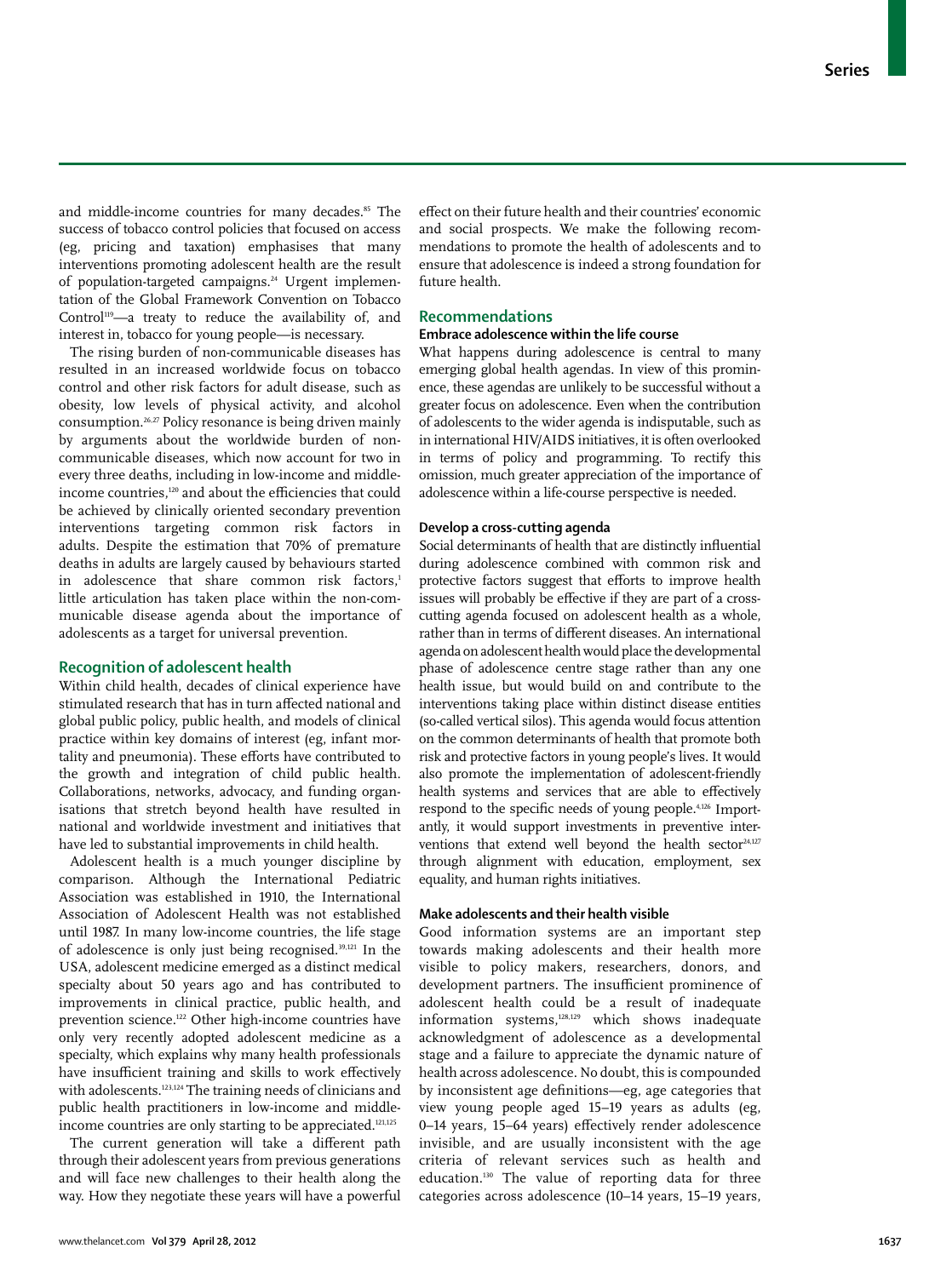and middle-income countries for many decades.<sup>85</sup> The success of tobacco control policies that focused on access (eg, pricing and taxation) emphasises that many interventions promoting adolescent health are the result of population-targeted campaigns.<sup>24</sup> Urgent implementation of the Global Framework Convention on Tobacco Control119—a treaty to reduce the availability of, and interest in, tobacco for young people—is necessary.

The rising burden of non-communicable diseases has resulted in an increased worldwide focus on tobacco control and other risk factors for adult disease, such as obesity, low levels of physical activity, and alcohol consumption.26,27 Policy resonance is being driven mainly by arguments about the worldwide burden of noncommunicable diseases, which now account for two in every three deaths, including in low-income and middleincome countries,<sup>120</sup> and about the efficiencies that could be achieved by clinically oriented secondary prevention interventions targeting common risk factors in adults. Despite the estimation that 70% of premature deaths in adults are largely caused by behaviours started in adolescence that share common risk factors,<sup>1</sup> little articulation has taken place within the non-communicable disease agenda about the importance of adolescents as a target for universal prevention.

## **Recognition of adolescent health**

Within child health, decades of clinical experience have stimulated research that has in turn affected national and global public policy, public health, and models of clinical practice within key domains of interest (eg, infant mortality and pneumonia). These efforts have contributed to the growth and integration of child public health. Collaborations, networks, advocacy, and funding organisations that stretch beyond health have resulted in national and worldwide investment and initiatives that have led to substantial improvements in child health.

Adolescent health is a much younger discipline by comparison. Although the International Pediatric Association was established in 1910, the International Association of Adolescent Health was not established until 1987. In many low-income countries, the life stage of adolescence is only just being recognised.39,121 In the USA, adolescent medicine emerged as a distinct medical specialty about 50 years ago and has contributed to improvements in clinical practice, public health, and prevention science.122 Other high-income countries have only very recently adopted adolescent medicine as a specialty, which explains why many health professionals have insufficient training and skills to work effectively with adolescents.<sup>123,124</sup> The training needs of clinicians and public health practitioners in low-income and middleincome countries are only starting to be appreciated.<sup>121,125</sup>

The current generation will take a different path through their adolescent years from previous generations and will face new challenges to their health along the way. How they negotiate these years will have a powerful effect on their future health and their countries' economic and social prospects. We make the following recommendations to promote the health of adolescents and to ensure that adolescence is indeed a strong foundation for future health.

## **Recommendations**

## **Embrace adolescence within the life course**

What happens during adolescence is central to many emerging global health agendas. In view of this prominence, these agendas are unlikely to be successful without a greater focus on adolescence. Even when the contribution of adolescents to the wider agenda is indisputable, such as in international HIV/AIDS initiatives, it is often overlooked in terms of policy and programming. To rectify this omission, much greater appreciation of the importance of adolescence within a life-course perspective is needed.

## **Develop a cross-cutting agenda**

Social determinants of health that are distinctly influential during adolescence combined with common risk and protective factors suggest that efforts to improve health issues will probably be effective if they are part of a crosscutting agenda focused on adolescent health as a whole, rather than in terms of different diseases. An international agenda on adolescent health would place the developmental phase of adolescence centre stage rather than any one health issue, but would build on and contribute to the interventions taking place within distinct disease entities (so-called vertical silos). This agenda would focus attention on the common determinants of health that promote both risk and protective factors in young people's lives. It would also promote the implementation of adolescent-friendly health systems and services that are able to effectively respond to the specific needs of young people.<sup>4,126</sup> Importantly, it would support investments in preventive interventions that extend well beyond the health sector<sup>24,127</sup> through alignment with education, employment, sex equality, and human rights initiatives.

## **Make adolescents and their health visible**

Good information systems are an important step towards making adolescents and their health more visible to policy makers, researchers, donors, and development partners. The insufficient prominence of adolescent health could be a result of inadequate information systems,128,129 which shows inadequate acknowledgment of adolescence as a developmental stage and a failure to appreciate the dynamic nature of health across adolescence. No doubt, this is compounded by inconsistent age definitions—eg, age categories that view young people aged 15–19 years as adults (eg, 0-14 years, 15-64 years) effectively render adolescence invisible, and are usually inconsistent with the age criteria of relevant services such as health and education.130 The value of reporting data for three categories across adolescence (10–14 years, 15–19 years,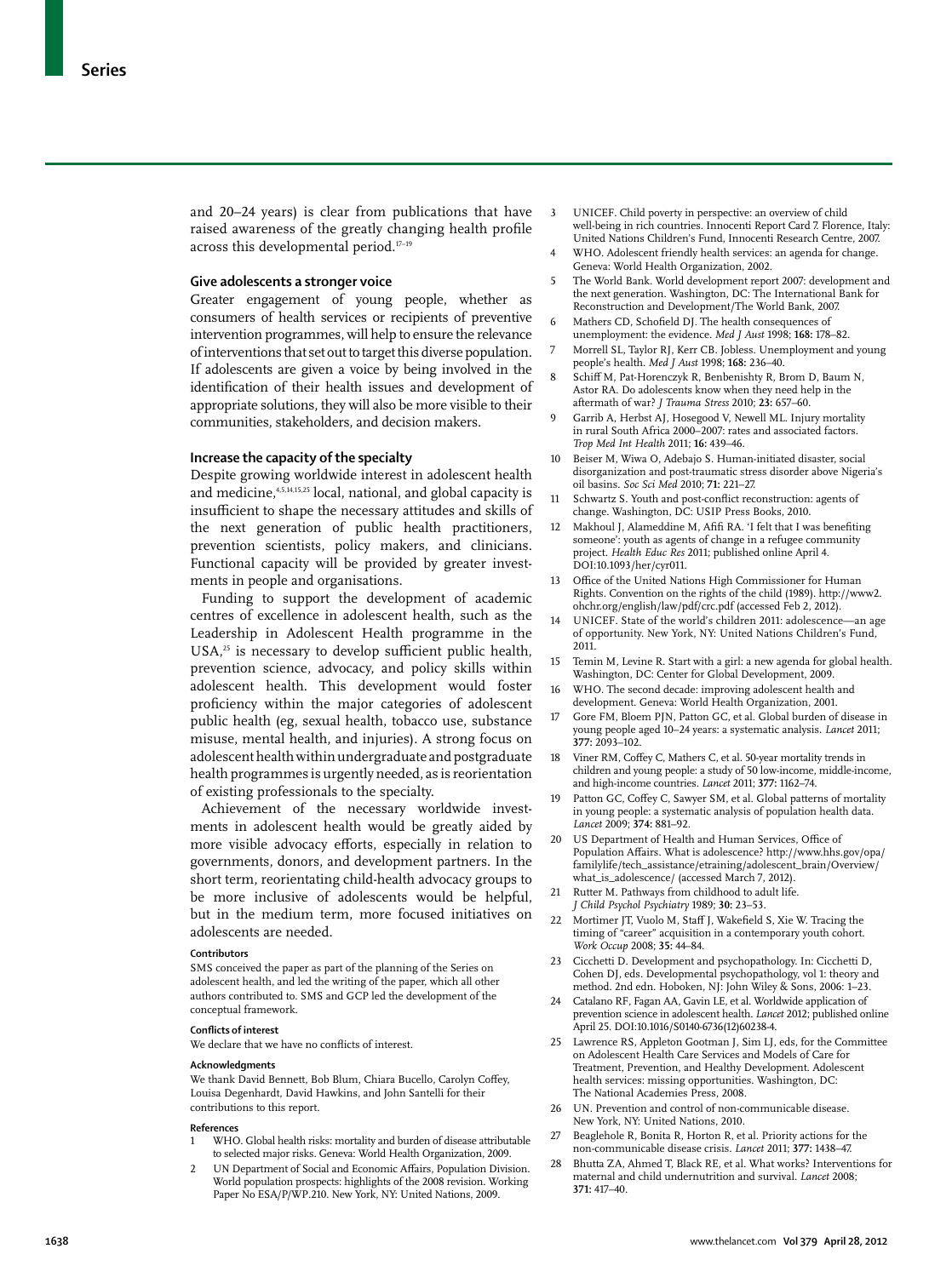and 20–24 years) is clear from publications that have raised awareness of the greatly changing health profile across this developmental period.17–19

## **Give adolescents a stronger voice**

Greater engagement of young people, whether as consumers of health services or recipients of preventive intervention programmes, will help to ensure the relevance of interventions that set out to target this diverse population. If adolescents are given a voice by being involved in the identification of their health issues and development of appropriate solutions, they will also be more visible to their communities, stakeholders, and decision makers.

#### **Increase the capacity of the specialty**

Despite growing worldwide interest in adolescent health and medicine,<sup>4,5,14,15,25</sup> local, national, and global capacity is insufficient to shape the necessary attitudes and skills of the next generation of public health practitioners, prevention scientists, policy makers, and clinicians. Functional capacity will be provided by greater investments in people and organisations.

Funding to support the development of academic centres of excellence in adolescent health, such as the Leadership in Adolescent Health programme in the  $USA<sub>1</sub><sup>25</sup>$  is necessary to develop sufficient public health, prevention science, advocacy, and policy skills within adolescent health. This development would foster proficiency within the major categories of adolescent public health (eg, sexual health, tobacco use, substance misuse, mental health, and injuries). A strong focus on adolescent health within undergraduate and postgraduate health programmes is urgently needed, as is reorientation of existing professionals to the specialty.

Achievement of the necessary worldwide investments in adolescent health would be greatly aided by more visible advocacy efforts, especially in relation to governments, donors, and development partners. In the short term, reorientating child-health advocacy groups to be more inclusive of adolescents would be helpful, but in the medium term, more focused initiatives on adolescents are needed.

#### **Contributors**

SMS conceived the paper as part of the planning of the Series on adolescent health, and led the writing of the paper, which all other authors contributed to. SMS and GCP led the development of the conceptual framework.

#### **Confl icts of interest**

We declare that we have no conflicts of interest.

#### **Acknowledgments**

We thank David Bennett, Bob Blum, Chiara Bucello, Carolyn Coffey, Louisa Degenhardt, David Hawkins, and John Santelli for their contributions to this report.

#### **References**

- WHO. Global health risks: mortality and burden of disease attributable to selected major risks. Geneva: World Health Organization, 2009.
- 2 UN Department of Social and Economic Affairs, Population Division. World population prospects: highlights of the 2008 revision. Working Paper No ESA/P/WP.210. New York, NY: United Nations, 2009.
- UNICEF. Child poverty in perspective: an overview of child well-being in rich countries. Innocenti Report Card 7. Florence, Italy: United Nations Children's Fund, Innocenti Research Centre, 2007.
- 4 WHO. Adolescent friendly health services: an agenda for change. Geneva: World Health Organization, 2002.
- 5 The World Bank. World development report 2007: development and the next generation. Washington, DC: The International Bank for Reconstruction and Development/The World Bank, 2007.
- 6 Mathers CD, Schofield DJ. The health consequences of unemployment: the evidence. *Med J Aust* 1998; **168:** 178–82.
- 7 Morrell SL, Taylor RJ, Kerr CB. Jobless. Unemployment and young people's health. *Med J Aust* 1998; **168:** 236–40.
- 8 Schiff M, Pat-Horenczyk R, Benbenishty R, Brom D, Baum N, Astor RA. Do adolescents know when they need help in the aftermath of war? *J Trauma Stress* 2010; **23:** 657–60.
- 9 Garrib A, Herbst AJ, Hosegood V, Newell ML. Injury mortality in rural South Africa 2000–2007: rates and associated factors. *Trop Med Int Health* 2011; **16:** 439–46.
- 10 Beiser M, Wiwa O, Adebajo S. Human-initiated disaster, social disorganization and post-traumatic stress disorder above Nigeria's oil basins. *Soc Sci Med* 2010; **71:** 221–27.
- 11 Schwartz S. Youth and post-conflict reconstruction: agents of change. Washington, DC: USIP Press Books, 2010.
- 12 Makhoul J, Alameddine M, Afifi RA. 'I felt that I was benefiting someone': youth as agents of change in a refugee community project. *Health Educ Res* 2011; published online April 4. DOI:10.1093/her/cyr011.
- 13 Office of the United Nations High Commissioner for Human Rights. Convention on the rights of the child (1989). http://www2. ohchr.org/english/law/pdf/crc.pdf (accessed Feb 2, 2012).
- UNICEF. State of the world's children 2011: adolescence-an age of opportunity. New York, NY: United Nations Children's Fund, 2011.
- 15 Temin M, Levine R. Start with a girl: a new agenda for global health. Washington, DC: Center for Global Development, 2009.
- WHO. The second decade: improving adolescent health and development. Geneva: World Health Organization, 2001.
- 17 Gore FM, Bloem PJN, Patton GC, et al. Global burden of disease in young people aged 10–24 years: a systematic analysis. *Lancet* 2011; **377:** 2093–102.
- 18 Viner RM, Coffey C, Mathers C, et al. 50-year mortality trends in children and young people: a study of 50 low-income, middle-income, and high-income countries. *Lancet* 2011; **377:** 1162–74.
- Patton GC, Coffey C, Sawyer SM, et al. Global patterns of mortality in young people: a systematic analysis of population health data. *Lancet* 2009; **374:** 881–92.
- 20 US Department of Health and Human Services, Office of Population Affairs. What is adolescence? http://www.hhs.gov/opa/ familylife/tech\_assistance/etraining/adolescent\_brain/Overview/ what\_is\_adolescence/ (accessed March 7, 2012).
- Rutter M. Pathways from childhood to adult life. *J Child Psychol Psychiatry* 1989; **30:** 23–53.
- 22 Mortimer JT, Vuolo M, Staff J, Wakefield S, Xie W, Tracing the timing of "career" acquisition in a contemporary youth cohort. *Work Occup* 2008; **35:** 44–84.
- 23 Cicchetti D. Development and psychopathology. In: Cicchetti D, Cohen DJ, eds. Developmental psychopathology, vol 1: theory and method. 2nd edn. Hoboken, NJ: John Wiley & Sons, 2006: 1–23.
- 24 Catalano RF, Fagan AA, Gavin LE, et al. Worldwide application of prevention science in adolescent health. *Lancet* 2012; published online April 25. DOI:10.1016/S0140-6736(12)60238-4.
- 25 Lawrence RS, Appleton Gootman J, Sim LJ, eds, for the Committee on Adolescent Health Care Services and Models of Care for Treatment, Prevention, and Healthy Development. Adolescent health services: missing opportunities. Washington, DC: The National Academies Press, 2008.
- 26 UN. Prevention and control of non-communicable disease. New York, NY: United Nations, 2010.
- 27 Beaglehole R, Bonita R, Horton R, et al. Priority actions for the non-communicable disease crisis. *Lancet* 2011; **377:** 1438–47.
- 28 Bhutta ZA, Ahmed T, Black RE, et al. What works? Interventions for maternal and child undernutrition and survival. *Lancet* 2008; **371:** 417–40.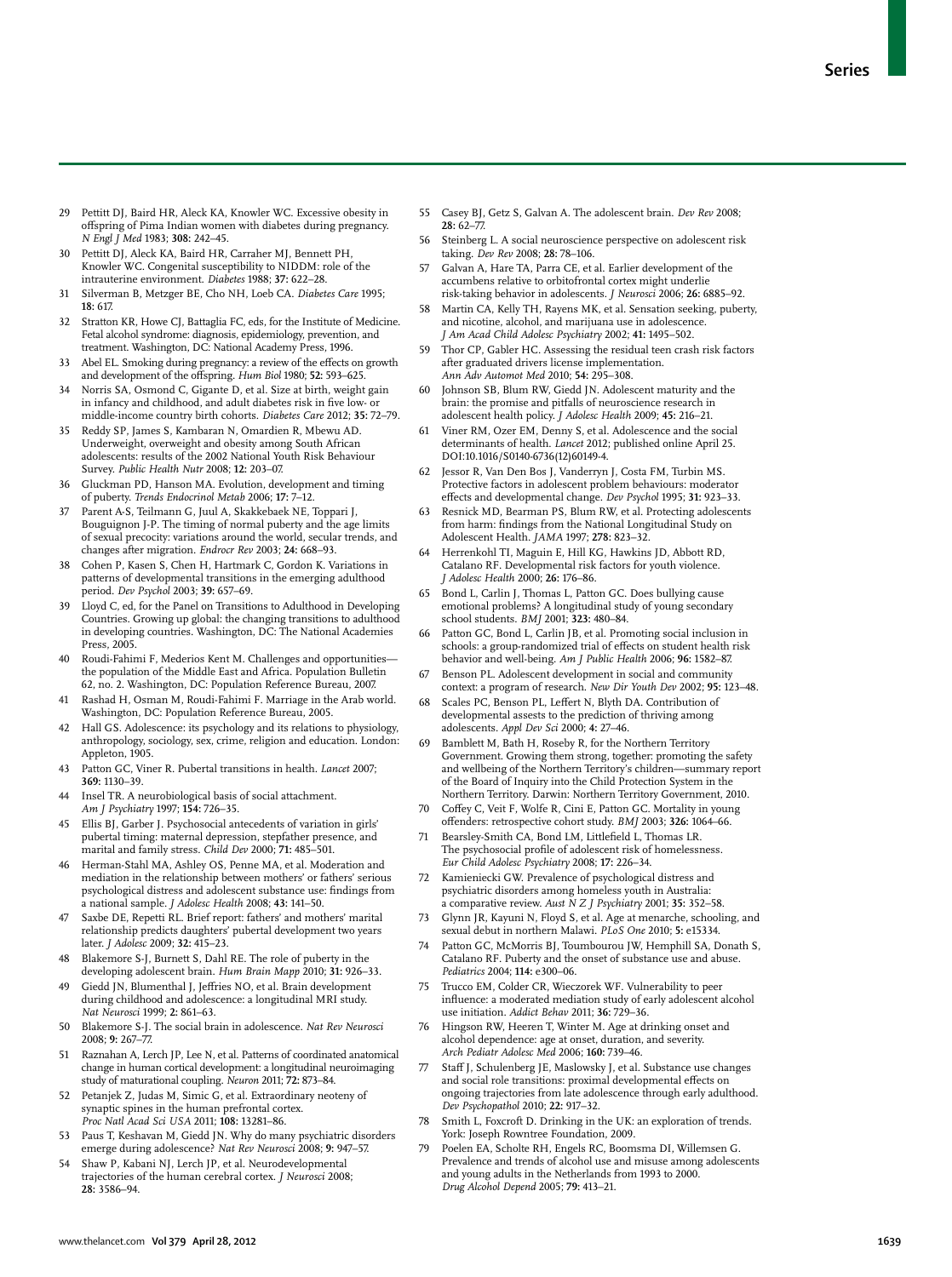- 29 Pettitt DJ, Baird HR, Aleck KA, Knowler WC. Excessive obesity in offspring of Pima Indian women with diabetes during pregnancy. *N Engl J Med* 1983; **308:** 242–45.
- Pettitt DJ, Aleck KA, Baird HR, Carraher MJ, Bennett PH, Knowler WC. Congenital susceptibility to NIDDM: role of the intrauterine environment. *Diabetes* 1988; **37:** 622–28.
- 31 Silverman B, Metzger BE, Cho NH, Loeb CA. *Diabetes Care* 1995; **18:** 617.
- 32 Stratton KR, Howe CJ, Battaglia FC, eds, for the Institute of Medicine. Fetal alcohol syndrome: diagnosis, epidemiology, prevention, and treatment. Washington, DC: National Academy Press, 1996.
- 33 Abel EL. Smoking during pregnancy: a review of the effects on growth and development of the offspring. *Hum Biol* 1980; **52:** 593–625.
- 34 Norris SA, Osmond C, Gigante D, et al. Size at birth, weight gain in infancy and childhood, and adult diabetes risk in five low- o middle-income country birth cohorts. *Diabetes Care* 2012; **35:** 72–79.
- 35 Reddy SP, James S, Kambaran N, Omardien R, Mbewu AD. Underweight, overweight and obesity among South African adolescents: results of the 2002 National Youth Risk Behaviour Survey. *Public Health Nutr* 2008; **12:** 203–07.
- 36 Gluckman PD, Hanson MA. Evolution, development and timing of puberty. *Trends Endocrinol Metab* 2006; **17:** 7–12.
- 37 Parent A-S, Teilmann G, Juul A, Skakkebaek NE, Toppari J, Bouguignon J-P. The timing of normal puberty and the age limits of sexual precocity: variations around the world, secular trends, and changes after migration. *Endrocr Rev* 2003; **24:** 668–93.
- 38 Cohen P, Kasen S, Chen H, Hartmark C, Gordon K. Variations in patterns of developmental transitions in the emerging adulthood period. *Dev Psychol* 2003; **39:** 657–69.
- 39 Lloyd C, ed, for the Panel on Transitions to Adulthood in Developing Countries. Growing up global: the changing transitions to adulthood in developing countries. Washington, DC: The National Academies Press, 2005.
- Roudi-Fahimi F, Mederios Kent M. Challenges and opportunitiesthe population of the Middle East and Africa. Population Bulletin 62, no. 2. Washington, DC: Population Reference Bureau, 2007.
- 41 Rashad H, Osman M, Roudi-Fahimi F. Marriage in the Arab world. Washington, DC: Population Reference Bureau, 2005.
- 42 Hall GS. Adolescence: its psychology and its relations to physiology, anthropology, sociology, sex, crime, religion and education. London: Appleton, 1905.
- 43 Patton GC, Viner R. Pubertal transitions in health. *Lancet* 2007; **369:** 1130–39.
- Insel TR. A neurobiological basis of social attachment. *Am J Psychiatry* 1997; **154:** 726–35.
- Ellis BJ, Garber J. Psychosocial antecedents of variation in girls' pubertal timing: maternal depression, stepfather presence, and marital and family stress. *Child Dev* 2000; **71:** 485–501.
- Herman-Stahl MA, Ashley OS, Penne MA, et al. Moderation and mediation in the relationship between mothers' or fathers' serious psychological distress and adolescent substance use: findings from a national sample. *J Adolesc Health* 2008; **43:** 141–50.
- Saxbe DE, Repetti RL. Brief report: fathers' and mothers' marital relationship predicts daughters' pubertal development two years later. *J Adolesc* 2009; **32:** 415–23.
- 48 Blakemore S-J, Burnett S, Dahl RE. The role of puberty in the developing adolescent brain. *Hum Brain Mapp* 2010; **31:** 926–33.
- Giedd JN, Blumenthal J, Jeffries NO, et al. Brain development during childhood and adolescence: a longitudinal MRI study. *Nat Neurosci* 1999; **2:** 861–63.
- 50 Blakemore S-J. The social brain in adolescence. *Nat Rev Neurosci* 2008; **9:** 267–77.
- 51 Raznahan A, Lerch JP, Lee N, et al. Patterns of coordinated anatomical change in human cortical development: a longitudinal neuroimaging study of maturational coupling. *Neuron* 2011; **72:** 873–84.
- 52 Petanjek Z, Judas M, Simic G, et al. Extraordinary neoteny of synaptic spines in the human prefrontal cortex. *Proc Natl Acad Sci USA* 2011; **108:** 13281–86.
- Paus T, Keshavan M, Giedd JN. Why do many psychiatric disorders emerge during adolescence? *Nat Rev Neurosci* 2008; **9:** 947–57.
- 54 Shaw P, Kabani NJ, Lerch JP, et al. Neurodevelopmental trajectories of the human cerebral cortex. *J Neurosci* 2008; **28:** 3586–94.
- 55 Casey BJ, Getz S, Galvan A. The adolescent brain. *Dev Rev* 2008; **28:** 62–77.
- 56 Steinberg L. A social neuroscience perspective on adolescent risk taking. *Dev Rev* 2008; **28:** 78–106.
- Galvan A, Hare TA, Parra CE, et al. Earlier development of the accumbens relative to orbitofrontal cortex might underlie risk-taking behavior in adolescents. *J Neurosci* 2006; **26:** 6885–92.
- 58 Martin CA, Kelly TH, Rayens MK, et al. Sensation seeking, puberty, and nicotine, alcohol, and marijuana use in adolescence. *J Am Acad Child Adolesc Psychiatry* 2002; **41:** 1495–502.
- Thor CP, Gabler HC. Assessing the residual teen crash risk factors after graduated drivers license implementation. *Ann Adv Automot Med* 2010; **54:** 295–308.
- 60 Johnson SB, Blum RW, Giedd JN. Adolescent maturity and the brain: the promise and pitfalls of neuroscience research in adolescent health policy. *J Adolesc Health* 2009; **45:** 216–21.
- 61 Viner RM, Ozer EM, Denny S, et al. Adolescence and the social determinants of health. *Lancet* 2012; published online April 25. DOI:10.1016/S0140-6736(12)60149-4.
- Jessor R, Van Den Bos J, Vanderryn J, Costa FM, Turbin MS. Protective factors in adolescent problem behaviours: moderator effects and developmental change. *Dev Psychol* 1995; 31: 923-33.
- 63 Resnick MD, Bearman PS, Blum RW, et al. Protecting adolescents from harm: findings from the National Longitudinal Study on Adolescent Health. *JAMA* 1997; **278:** 823–32.
- Herrenkohl TI, Maguin E, Hill KG, Hawkins JD, Abbott RD, Catalano RF. Developmental risk factors for youth violence. *J Adolesc Health* 2000; **26:** 176–86.
- 65 Bond L, Carlin J, Thomas L, Patton GC. Does bullying cause emotional problems? A longitudinal study of young secondary school students. *BMJ* 2001; **323:** 480–84.
- 66 Patton GC, Bond L, Carlin JB, et al. Promoting social inclusion in schools: a group-randomized trial of effects on student health risk behavior and well-being. *Am J Public Health* 2006; **96:** 1582–87.
- 67 Benson PL. Adolescent development in social and community context: a program of research. *New Dir Youth Dev* 2002; **95:** 123–48.
- 68 Scales PC, Benson PL, Leffert N, Blyth DA. Contribution of developmental assests to the prediction of thriving among adolescents. *Appl Dev Sci* 2000; **4:** 27–46.
- 69 Bamblett M, Bath H, Roseby R, for the Northern Territory Government. Growing them strong, together: promoting the safety and wellbeing of the Northern Territory's children—summary report of the Board of Inquiry into the Child Protection System in the Northern Territory. Darwin: Northern Territory Government, 2010.
- Coffey C, Veit F, Wolfe R, Cini E, Patton GC. Mortality in young offenders: retrospective cohort study. *BMJ* 2003; 326: 1064-66.
- 71 Bearsley-Smith CA, Bond LM, Littlefield L, Thomas LR. The psychosocial profile of adolescent risk of homelessness. *Eur Child Adolesc Psychiatry* 2008; **17:** 226–34.
- 72 Kamieniecki GW. Prevalence of psychological distress and psychiatric disorders among homeless youth in Australia: a comparative review. *Aust N Z J Psychiatry* 2001; **35:** 352–58.
- Glynn JR, Kayuni N, Floyd S, et al. Age at menarche, schooling, and sexual debut in northern Malawi. *PLoS One* 2010; **5:** e15334.
- 74 Patton GC, McMorris BJ, Toumbourou JW, Hemphill SA, Donath S, Catalano RF. Puberty and the onset of substance use and abuse. *Pediatrics* 2004; **114:** e300–06.
- Trucco EM, Colder CR, Wieczorek WF. Vulnerability to peer influence: a moderated mediation study of early adolescent alcohol use initiation. *Addict Behav* 2011; **36:** 729–36.
- Hingson RW, Heeren T, Winter M. Age at drinking onset and alcohol dependence: age at onset, duration, and severity. *Arch Pediatr Adolesc Med* 2006; **160:** 739–46.
- Staff J, Schulenberg JE, Maslowsky J, et al. Substance use changes and social role transitions: proximal developmental effects on ongoing trajectories from late adolescence through early adulthood. *Dev Psychopathol* 2010; **22:** 917–32.
- 78 Smith L, Foxcroft D. Drinking in the UK: an exploration of trends. York: Joseph Rowntree Foundation, 2009.
- 79 Poelen EA, Scholte RH, Engels RC, Boomsma DI, Willemsen G. Prevalence and trends of alcohol use and misuse among adolescents and young adults in the Netherlands from 1993 to 2000. *Drug Alcohol Depend* 2005; **79:** 413–21.